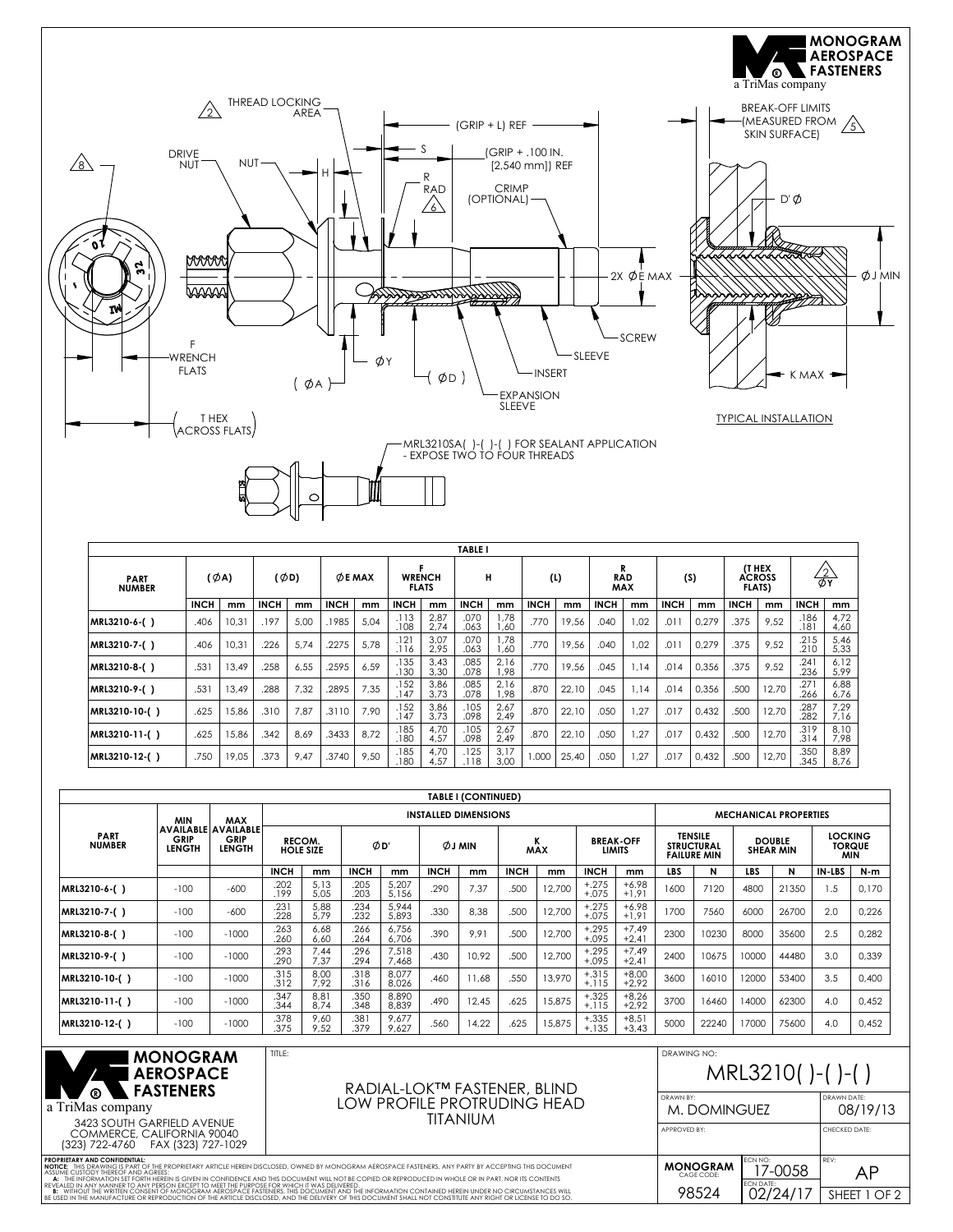

| <b>TABLE I</b>               |                  |       |             |      |                 |      |                               |              |              |              |             |       |                          |      |             |       |                                          |       |                          |              |
|------------------------------|------------------|-------|-------------|------|-----------------|------|-------------------------------|--------------|--------------|--------------|-------------|-------|--------------------------|------|-------------|-------|------------------------------------------|-------|--------------------------|--------------|
| <b>PART</b><br><b>NUMBER</b> | $(\emptyset A)$  |       | (ØD)        |      | $\varphi$ E MAX |      | <b>WRENCH</b><br><b>FLATS</b> |              | н            |              | (L)         |       | <b>RAD</b><br><b>MAX</b> |      | (S)         |       | <b>IT HEX</b><br>ACROSS<br><b>FLATS)</b> |       | $\frac{2}{2}$            |              |
|                              | <b>INCH</b>      | mm    | <b>INCH</b> | mm   | <b>INCH</b>     | mm   | <b>INCH</b>                   | mm           | <b>INCH</b>  | mm           | <b>INCH</b> | mm    | <b>INCH</b>              | mm   | <b>INCH</b> | mm    | <b>INCH</b>                              | mm    | <b>INCH</b>              | mm           |
| MRL3210-6-()                 | .406             | 10.31 | .197        | 5.00 | .1985           | 5.04 | .113<br>.108                  | 2,87<br>2,74 | .070<br>.063 | 1.78<br>.60  | .770        | 19.56 | .040                     | 1.02 | .011        | 0.279 | .375                                     | 9.52  | .186<br>.18 <sup>1</sup> | 4.72<br>4,60 |
| MRL3210-7-()                 | .406             | 10,31 | .226        | 5.74 | .2275           | 5.78 | .121<br>.116                  | 3,07<br>2.95 | .070<br>.063 | 1.78<br>.60  | .770        | 19,56 | .040                     | 1.02 | .011        | 0,279 | .375                                     | 9,52  | .215<br>.210             | 5,46<br>5,33 |
| MRL3210-8-()                 | .531             | 13.49 | .258        | 6,55 | .2595           | 6.59 | .135<br>.130                  | 3,43<br>3,30 | .085<br>.078 | 2,16<br>.98  | .770        | 19,56 | .045                     | 1.14 | .014        | 0,356 | .375                                     | 9,52  | .241<br>.236             | 6,12<br>5.99 |
| MRL3210-9-()                 | .53 <sup>°</sup> | 13.49 | .288        | 7,32 | 2895            | 7.35 | .152<br>.147                  | 3,86<br>3.73 | .085<br>.078 | 2,16<br>.98  | .870        | 22,10 | .045                     | 1.14 | .014        | 0,356 | .500                                     | 12,70 | .271<br>.266             | 6,88<br>6,76 |
| MRL3210-10-()                | .625             | 15,86 | .310        | 7,87 | .3110           | 7.90 | .152<br>.147                  | 3,86<br>3.73 | .105<br>.098 | 2,67<br>2,49 | .870        | 22,10 | .050                     | 1.27 | .017        | 0,432 | .500                                     | 12,70 | .287<br>.282             | 7,29<br>7,16 |
| MRL3210-11-()                | .625             | 15.86 | .342        | 8.69 | .3433           | 8.72 | .185<br>.180                  | 4,70<br>4.57 | .105<br>.098 | 2,67<br>2.49 | .870        | 22,10 | .050                     | 1.27 | .017        | 0.432 | .500                                     | 12,70 | .319<br>.314             | 8,10<br>7.98 |
| MRL3210-12-()                | .750             | 19,05 | .373        | 9,47 | .3740           | 9,50 | .185<br>.180                  | 4,70<br>4.57 | .125<br>.118 | 3,17<br>3.00 | 000.1       | 25,40 | .050                     | 1,27 | .017        | 0,432 | .500                                     | 12,70 | .350<br>.345             | 8,89<br>8,76 |

|                              |                       |                                                     |                            |              |              |                |                             | <b>TABLE I (CONTINUED)</b> |                 |        |                                   |                    |                                                           |       |                                   |       |                                               |       |
|------------------------------|-----------------------|-----------------------------------------------------|----------------------------|--------------|--------------|----------------|-----------------------------|----------------------------|-----------------|--------|-----------------------------------|--------------------|-----------------------------------------------------------|-------|-----------------------------------|-------|-----------------------------------------------|-------|
|                              | <b>MIN</b>            | <b>MAX</b>                                          |                            |              |              |                | <b>INSTALLED DIMENSIONS</b> |                            |                 |        |                                   |                    | <b>MECHANICAL PROPERTIES</b>                              |       |                                   |       |                                               |       |
| <b>PART</b><br><b>NUMBER</b> | GRIP<br><b>LENGTH</b> | <b>AVAILABLE AVAILABLE</b><br>GRIP<br><b>LENGTH</b> | RECOM.<br><b>HOLE SIZE</b> |              | ØD'          |                | <b>ØJMIN</b>                |                            | ĸ<br><b>MAX</b> |        | <b>BREAK-OFF</b><br><b>LIMITS</b> |                    | <b>TENSILE</b><br><b>STRUCTURAL</b><br><b>FAILURE MIN</b> |       | <b>DOUBLE</b><br><b>SHEAR MIN</b> |       | <b>LOCKING</b><br><b>TORQUE</b><br><b>MIN</b> |       |
|                              |                       |                                                     | <b>INCH</b>                | mm           | <b>INCH</b>  | mm             | <b>INCH</b>                 | mm                         | <b>INCH</b>     | mm     | <b>INCH</b>                       | mm                 | <b>LBS</b>                                                | N     | <b>LBS</b>                        | N     | IN-LBS                                        | $N-m$ |
| MRL3210-6-()                 | $-100$                | $-600$                                              | .202<br>.199               | 5,13<br>5,05 | .205<br>.203 | 5,207<br>5,156 | .290                        | 7,37                       | .500            | 12,700 | $+.275$<br>$+.075$                | $+6.98$<br>$+1.91$ | 1600                                                      | 7120  | 4800                              | 21350 | 1.5                                           | 0,170 |
| MRL3210-7-()                 | $-100$                | $-600$                                              | .231<br>.228               | 5,88<br>5,79 | .234<br>.232 | 5,944<br>5,893 | .330                        | 8.38                       | .500            | 12.700 | $+.275$<br>$+.075$                | $+6.98$<br>$+1,91$ | 1700                                                      | 7560  | 6000                              | 26700 | 2.0                                           | 0,226 |
| MRL3210-8-()                 | $-100$                | $-1000$                                             | .263<br>.260               | 6,68<br>6,60 | .266<br>.264 | 6,756<br>6.706 | .390                        | 9,91                       | .500            | 12.700 | $+.295$<br>$+.095$                | $+7,49$<br>$+2,41$ | 2300                                                      | 10230 | 8000                              | 35600 | 2.5                                           | 0,282 |
| MRL3210-9-()                 | $-100$                | $-1000$                                             | .293<br>.290               | 7,44<br>7,37 | .296<br>.294 | 7,518<br>7.468 | .430                        | 10,92                      | .500            | 12.700 | $+.295$<br>$+.095$                | $+7,49$<br>$+2,41$ | 2400                                                      | 10675 | 10000                             | 44480 | 3.0                                           | 0,339 |
| MRL3210-10-()                | $-100$                | $-1000$                                             | .315<br>.312               | 8,00<br>7.92 | .318<br>.316 | 8.077<br>8,026 | .460                        | 11,68                      | .550            | 13,970 | $+.315$<br>$+.115$                | $+8,00$<br>$+2,92$ | 3600                                                      | 16010 | 12000                             | 53400 | 3.5                                           | 0,400 |
| MRL3210-11-()                | $-100$                | $-1000$                                             | .347<br>.344               | 8,81<br>8.74 | .350<br>.348 | 8,890<br>8.839 | .490                        | 12,45                      | .625            | 15,875 | $+.325$<br>$+.115$                | $+8,26$<br>$+2.92$ | 3700                                                      | 16460 | 14000                             | 62300 | 4.0                                           | 0,452 |
| MRL3210-12-()                | $-100$                | $-1000$                                             | .378<br>.375               | 9,60<br>9,52 | .381<br>.379 | 9,677<br>9,627 | .560                        | 14,22                      | .625            | 15,875 | $+.335$<br>$+.135$                | $+8,51$<br>$+3,43$ | 5000                                                      | 22240 | 17000                             | 75600 | 4.0                                           | 0,452 |
|                              | 11211222211           |                                                     |                            |              |              |                |                             |                            |                 |        |                                   |                    | DRAWING NO.                                               |       |                                   |       |                                               |       |



A: THE INFORMATION SET FORTH HEREIN IS GYEN IN CONFIDENCE AND THIS DOCUMENT WILL NOT BE COPIED OR REPRODUCED IN WHOLE OR IN PART, NOR ITS CONTENTS<br>IB: WITHOUT THE WRITTEN CONSENT OF MONOGRAM AEROSPACE FASTENERS, THIS DOCUM

P**ROPRIETARY AND CONFIDENTIAL:**<br>**NOTICE: T**HIS DRAWING'IS PART OF THE PROPRIETARY ARTICLE HEREIN DISCLOSED, OWNED BY MONOGRAM AEROSPACE FASTENERS, ANY PARTY BY ACCEPTING THIS DOCUMENT<br>ASSUME CUSTODY THEREOF AND AGREES:

## MRL3210( )-( )-( )

| DRAWN BY:<br>M. DOMINGUEZ     | DRAWN DATF:<br>08/19/13         |            |  |  |  |
|-------------------------------|---------------------------------|------------|--|--|--|
| APPROVED BY:                  | CHECKED DATE:                   |            |  |  |  |
| <b>MONOGRAM</b><br>CAGE CODE: | ECN NO:<br>17-0058<br>FCN DATE: | RFV:<br>AΡ |  |  |  |
| 98.524                        | SHEET 1 OF 2                    |            |  |  |  |